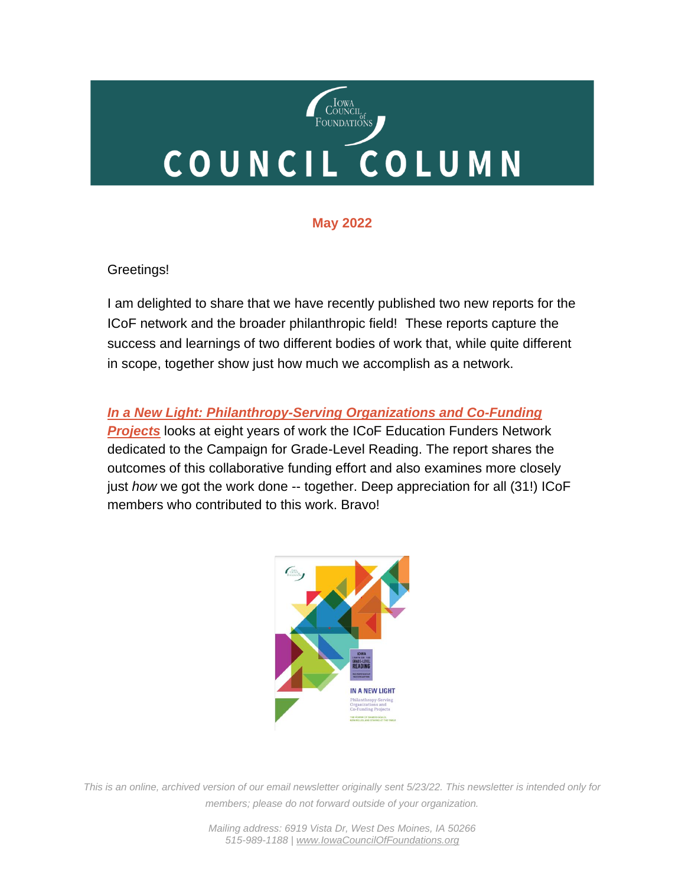# COUNCIL<br>OUNDATIONS COUNCIL COLUMN

### **May 2022**

#### Greetings!

I am delighted to share that we have recently published two new reports for the ICoF network and the broader philanthropic field! These reports capture the success and learnings of two different bodies of work that, while quite different in scope, together show just how much we accomplish as a network.

### *[In a New Light: Philanthropy-Serving Organizations and Co-Funding](https://iowacounciloffoundations.org/wp-content/uploads/2022/05/GradeLevelReading_Digital_2022.pdf)*

*[Projects](https://iowacounciloffoundations.org/wp-content/uploads/2022/05/GradeLevelReading_Digital_2022.pdf)* looks at eight years of work the ICoF Education Funders Network dedicated to the Campaign for Grade-Level Reading. The report shares the outcomes of this collaborative funding effort and also examines more closely just *how* we got the work done -- together. Deep appreciation for all (31!) ICoF members who contributed to this work. Bravo!

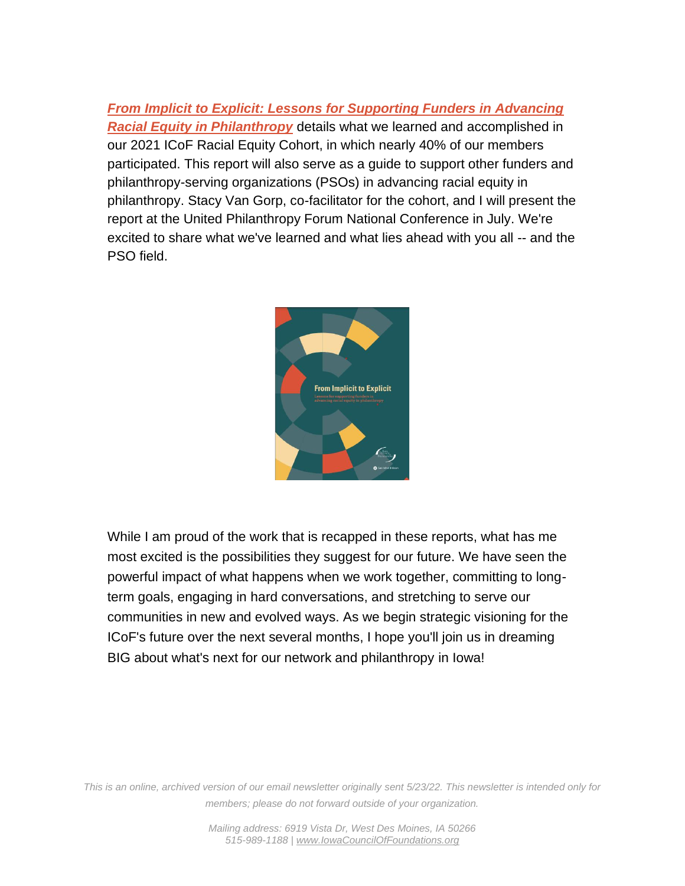*[From Implicit to Explicit: Lessons for Supporting Funders in Advancing](https://iowacounciloffoundations.org/wp-content/uploads/2022/05/RacialEquality_Cohort_ReaderSprd.pdf)  [Racial Equity in Philanthropy](https://iowacounciloffoundations.org/wp-content/uploads/2022/05/RacialEquality_Cohort_ReaderSprd.pdf)* details what we learned and accomplished in our 2021 ICoF Racial Equity Cohort, in which nearly 40% of our members participated. This report will also serve as a guide to support other funders and philanthropy-serving organizations (PSOs) in advancing racial equity in philanthropy. Stacy Van Gorp, co-facilitator for the cohort, and I will present the report at the United Philanthropy Forum National Conference in July. We're excited to share what we've learned and what lies ahead with you all -- and the PSO field.



While I am proud of the work that is recapped in these reports, what has me most excited is the possibilities they suggest for our future. We have seen the powerful impact of what happens when we work together, committing to longterm goals, engaging in hard conversations, and stretching to serve our communities in new and evolved ways. As we begin strategic visioning for the ICoF's future over the next several months, I hope you'll join us in dreaming BIG about what's next for our network and philanthropy in Iowa!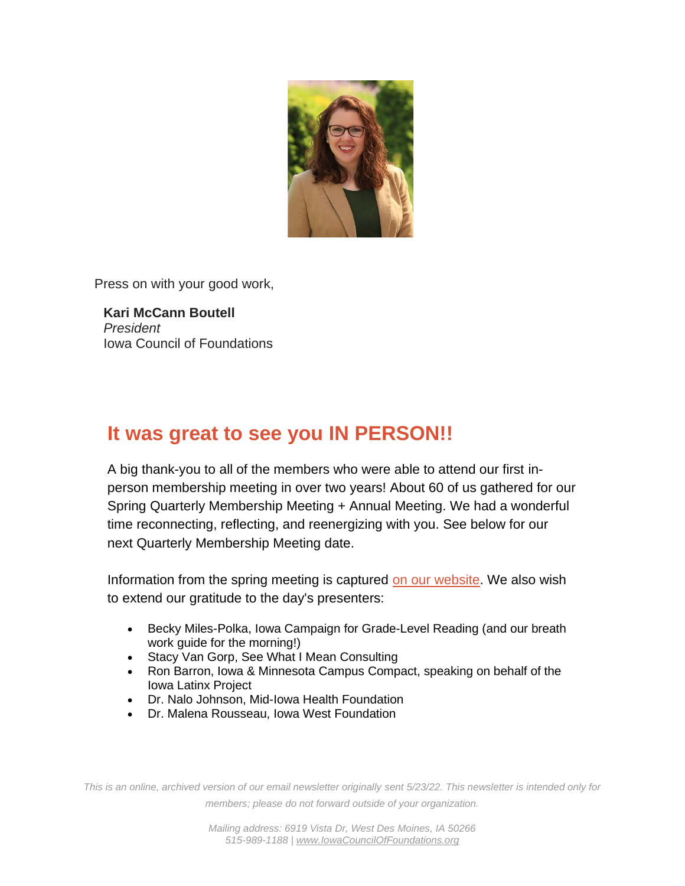

Press on with your good work,

 **Kari McCann Boutell** *President* Iowa Council of Foundations

# **It was great to see you IN PERSON!!**

A big thank-you to all of the members who were able to attend our first inperson membership meeting in over two years! About 60 of us gathered for our Spring Quarterly Membership Meeting + Annual Meeting. We had a wonderful time reconnecting, reflecting, and reenergizing with you. See below for our next Quarterly Membership Meeting date.

Information from the spring meeting is captured [on our website.](https://iowacounciloffoundations.org/fy-2022/) We also wish to extend our gratitude to the day's presenters:

- Becky Miles-Polka, Iowa Campaign for Grade-Level Reading (and our breath work guide for the morning!)
- Stacy Van Gorp, See What I Mean Consulting
- Ron Barron, Iowa & Minnesota Campus Compact, speaking on behalf of the Iowa Latinx Project
- Dr. Nalo Johnson, Mid-Iowa Health Foundation
- Dr. Malena Rousseau, Iowa West Foundation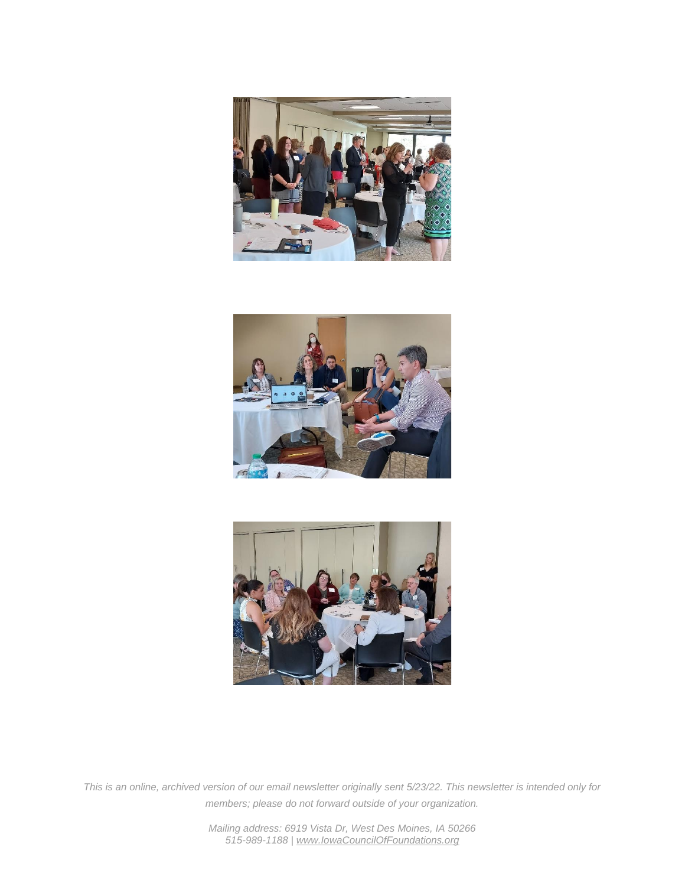





*This is an online, archived version of our email newsletter originally sent 5/23/22. This newsletter is intended only for members; please do not forward outside of your organization.*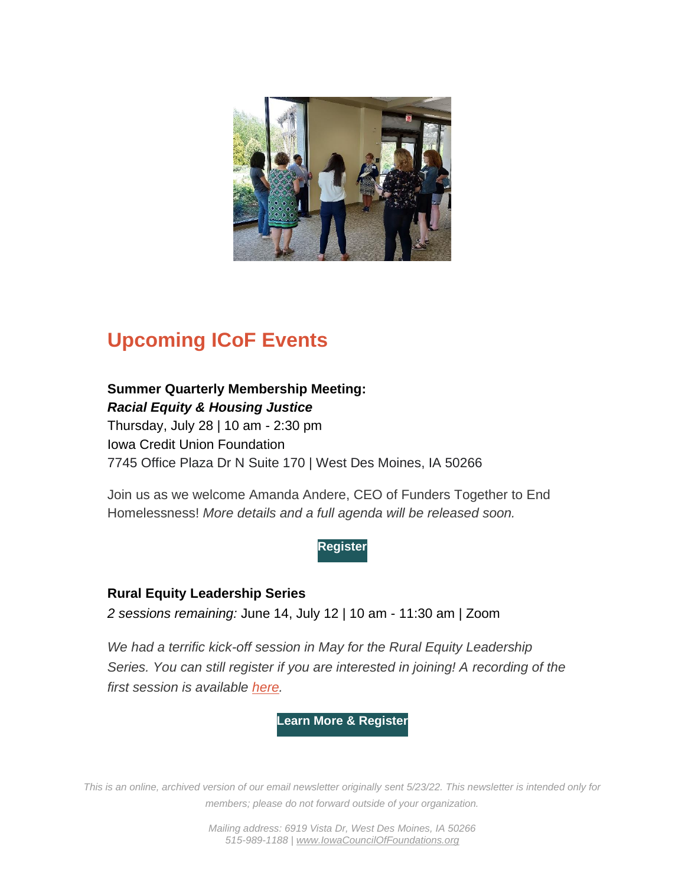

# **Upcoming ICoF Events**

### **Summer Quarterly Membership Meeting:** *Racial Equity & Housing Justice* Thursday, July 28 | 10 am - 2:30 pm Iowa Credit Union Foundation 7745 Office Plaza Dr N Suite 170 | West Des Moines, IA 50266

Join us as we welcome Amanda Andere, CEO of Funders Together to End Homelessness! *More details and a full agenda will be released soon.*

#### **[Register](https://icof.wildapricot.org/event-4828905)**

### **Rural Equity Leadership Series**

*2 sessions remaining:* June 14, July 12 | 10 am - 11:30 am | Zoom

We had a terrific kick-off session in May for the Rural Equity Leadership *Series. You can still register if you are interested in joining! A recording of the first session is available [here.](https://youtu.be/fh3AzMVl4n4)*

**[Learn More & Register](https://icof.wildapricot.org/event-4669692)**

*This is an online, archived version of our email newsletter originally sent 5/23/22. This newsletter is intended only for members; please do not forward outside of your organization.*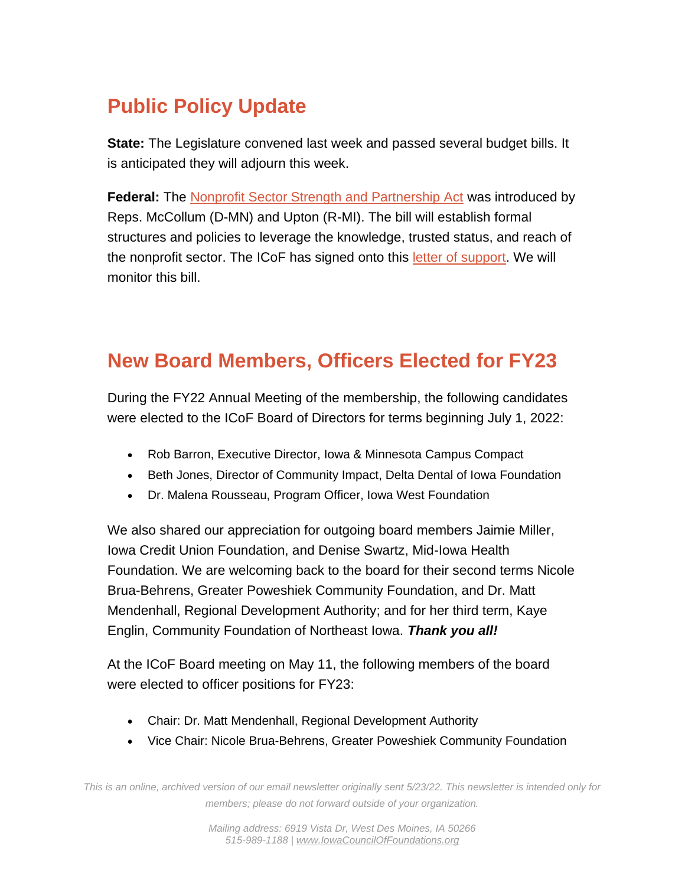# **Public Policy Update**

**State:** The Legislature convened last week and passed several budget bills. It is anticipated they will adjourn this week.

**Federal:** The [Nonprofit Sector Strength and Partnership Act](https://independentsector.org/wp-content/uploads/2022/04/Nonprofit-Sector-Strength-and-Partnership-Act-text-4-19-22.pdf) was introduced by Reps. McCollum (D-MN) and Upton (R-MI). The bill will establish formal structures and policies to leverage the knowledge, trusted status, and reach of the nonprofit sector. The ICoF has signed onto this [letter of support.](https://independentsector.quorum.us/campaign/37943/) We will monitor this bill.

### **New Board Members, Officers Elected for FY23**

During the FY22 Annual Meeting of the membership, the following candidates were elected to the ICoF Board of Directors for terms beginning July 1, 2022:

- Rob Barron, Executive Director, Iowa & Minnesota Campus Compact
- Beth Jones, Director of Community Impact, Delta Dental of Iowa Foundation
- Dr. Malena Rousseau, Program Officer, Iowa West Foundation

We also shared our appreciation for outgoing board members Jaimie Miller, Iowa Credit Union Foundation, and Denise Swartz, Mid-Iowa Health Foundation. We are welcoming back to the board for their second terms Nicole Brua-Behrens, Greater Poweshiek Community Foundation, and Dr. Matt Mendenhall, Regional Development Authority; and for her third term, Kaye Englin, Community Foundation of Northeast Iowa. *Thank you all!*

At the ICoF Board meeting on May 11, the following members of the board were elected to officer positions for FY23:

- Chair: Dr. Matt Mendenhall, Regional Development Authority
- Vice Chair: Nicole Brua-Behrens, Greater Poweshiek Community Foundation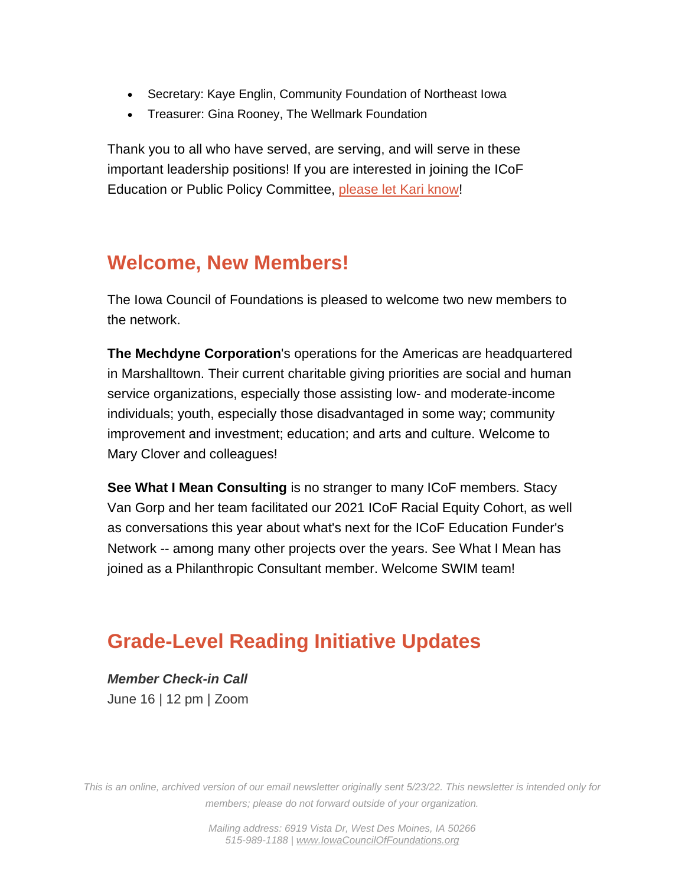- Secretary: Kaye Englin, Community Foundation of Northeast Iowa
- Treasurer: Gina Rooney, The Wellmark Foundation

Thank you to all who have served, are serving, and will serve in these important leadership positions! If you are interested in joining the ICoF Education or Public Policy Committee, [please let Kari know!](mailto:kmccann@iowacounciloffoundations.org)

### **Welcome, New Members!**

The Iowa Council of Foundations is pleased to welcome two new members to the network.

**The Mechdyne Corporation**'s operations for the Americas are headquartered in Marshalltown. Their current charitable giving priorities are social and human service organizations, especially those assisting low- and moderate-income individuals; youth, especially those disadvantaged in some way; community improvement and investment; education; and arts and culture. Welcome to Mary Clover and colleagues!

**See What I Mean Consulting** is no stranger to many ICoF members. Stacy Van Gorp and her team facilitated our 2021 ICoF Racial Equity Cohort, as well as conversations this year about what's next for the ICoF Education Funder's Network -- among many other projects over the years. See What I Mean has joined as a Philanthropic Consultant member. Welcome SWIM team!

# **Grade-Level Reading Initiative Updates**

*Member Check-in Call* June 16 | 12 pm | Zoom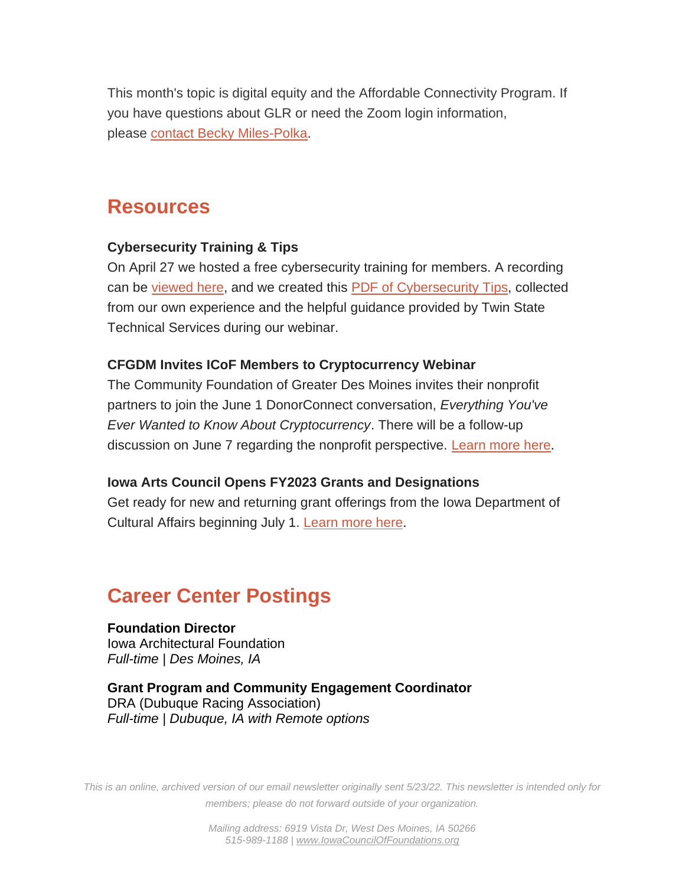This month's topic is digital equity and the Affordable Connectivity Program. If you have questions about GLR or need the Zoom login information, please [contact Becky Miles-Polka.](mailto:bmilespolka@gradelevelreading.net)

### **Resources**

#### **Cybersecurity Training & Tips**

On April 27 we hosted a free cybersecurity training for members. A recording can be [viewed here,](https://youtu.be/OyXgUHNcT_c) and we created this [PDF of Cybersecurity Tips,](https://iowacounciloffoundations.org/wp-content/uploads/2022/05/cybersecurity-tips.pdf) collected from our own experience and the helpful guidance provided by Twin State Technical Services during our webinar.

#### **CFGDM Invites ICoF Members to Cryptocurrency Webinar**

The Community Foundation of Greater Des Moines invites their nonprofit partners to join the June 1 DonorConnect conversation, *Everything You've Ever Wanted to Know About Cryptocurrency*. There will be a follow-up discussion on June 7 regarding the nonprofit perspective. [Learn more here](https://www.desmoinesfoundation.org/events).

#### **Iowa Arts Council Opens FY2023 Grants and Designations**

Get ready for new and returning grant offerings from the Iowa Department of Cultural Affairs beginning July 1. [Learn more here](https://www.iowaculture.gov/about-us/about/grants).

# **Career Center Postings**

**Foundation Director** Iowa Architectural Foundation *Full-time | Des Moines, IA*

**Grant Program and Community Engagement Coordinator** DRA (Dubuque Racing Association) *Full-time | Dubuque, IA with Remote options*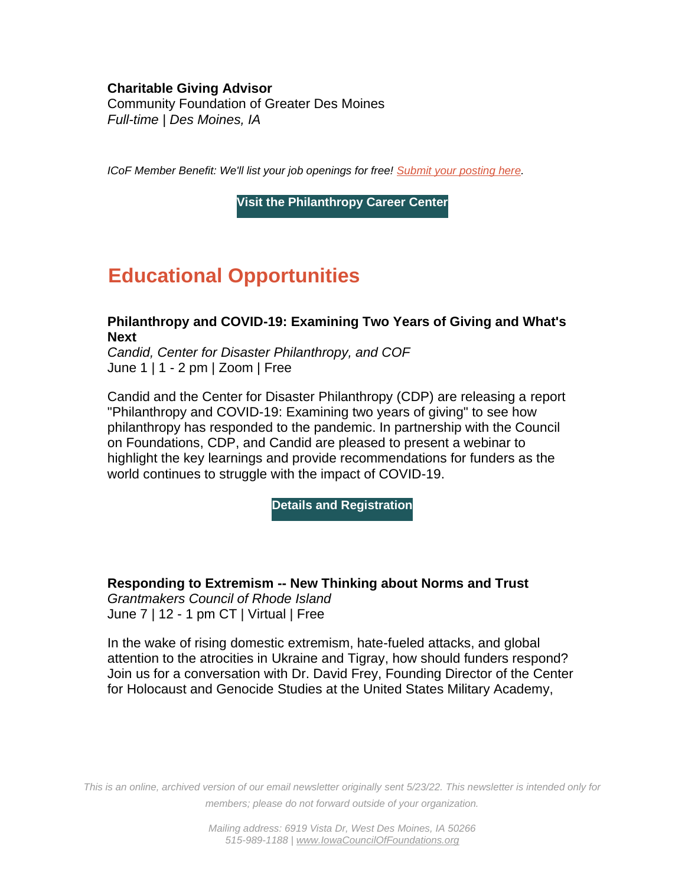#### **Charitable Giving Advisor**

Community Foundation of Greater Des Moines *Full-time | Des Moines, IA*

*ICoF Member Benefit: We'll list your job openings for free! [Submit your posting here.](https://iowacounciloffoundations.org/submit-job/)*

**[Visit the Philanthropy Career Center](http://iowacounciloffoundations.org/career-center/)**

### **Educational Opportunities**

#### **Philanthropy and COVID-19: Examining Two Years of Giving and What's Next**

*Candid, Center for Disaster Philanthropy, and COF* June 1 | 1 - 2 pm | Zoom | Free

Candid and the Center for Disaster Philanthropy (CDP) are releasing a report "Philanthropy and COVID-19: Examining two years of giving" to see how philanthropy has responded to the pandemic. In partnership with the Council on Foundations, CDP, and Candid are pleased to present a webinar to highlight the key learnings and provide recommendations for funders as the world continues to struggle with the impact of COVID-19.

**[Details and Registration](https://www.cof.org/event/philanthropy-and-covid-19-examining-two-years-giving-and-what%E2%80%99s-next)**

**Responding to Extremism -- New Thinking about Norms and Trust** *Grantmakers Council of Rhode Island* June 7 | 12 - 1 pm CT | Virtual | Free

In the wake of rising domestic extremism, hate-fueled attacks, and global attention to the atrocities in Ukraine and Tigray, how should funders respond? Join us for a conversation with Dr. David Frey, Founding Director of the Center for Holocaust and Genocide Studies at the United States Military Academy,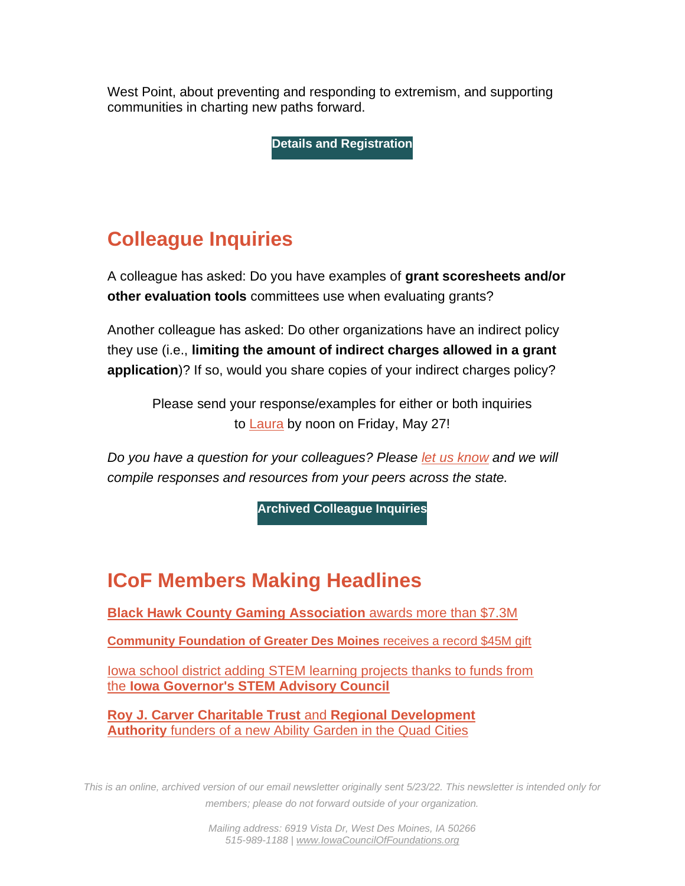West Point, about preventing and responding to extremism, and supporting communities in charting new paths forward.

**[Details and Registration](https://gcri-responding-to-extremism.eventbrite.com/)**

### **Colleague Inquiries**

A colleague has asked: Do you have examples of **grant scoresheets and/or other evaluation tools** committees use when evaluating grants?

Another colleague has asked: Do other organizations have an indirect policy they use (i.e., **limiting the amount of indirect charges allowed in a grant application**)? If so, would you share copies of your indirect charges policy?

Please send your response/examples for either or both inquiries to [Laura](mailto:lberardi@iowacounciloffoundations.org) by noon on Friday, May 27!

*Do you have a question for your colleagues? Please [let us know](mailto:info@iowacounciloffoundations.org?subject=Colleague%20Inquiry%20Request) and we will compile responses and resources from your peers across the state.*

**[Archived Colleague Inquiries](http://iowacounciloffoundations.org/administration/)**

### **ICoF Members Making Headlines**

**[Black Hawk County Gaming Association](https://www.kwwl.com/news/waterloo/city-of-waterloo-receives-largest-single-grant-from-black-hawk-county-gaming-association-at-6/article_020a7356-c4b3-11ec-a588-530fd44288f5.html)** awards more than \$7.3M

**[Community Foundation of Greater Des Moines](https://www.desmoinesregister.com/story/news/2022/05/02/ymca-drake-university-des-moines-art-center-symphony-endowment-macomber/9556847002/)** receives a record \$45M gift

[Iowa school district adding STEM learning projects thanks to funds from](https://www.kciiradio.com/2022/05/10/waco-using-grants-to-incorporate-stem-subjects-in-youth-learning/)  the **[Iowa Governor's STEM Advisory Council](https://www.kciiradio.com/2022/05/10/waco-using-grants-to-incorporate-stem-subjects-in-youth-learning/)**

**[Roy J. Carver Charitable Trust](https://www.quadcities.com/cities/rock-island/illinois-quad-city-botanical-center-begins-construction-on-new-ability-garden/)** and **Regional Development Authority** [funders of a new Ability Garden in the Quad Cities](https://www.quadcities.com/cities/rock-island/illinois-quad-city-botanical-center-begins-construction-on-new-ability-garden/)

*This is an online, archived version of our email newsletter originally sent 5/23/22. This newsletter is intended only for members; please do not forward outside of your organization.*